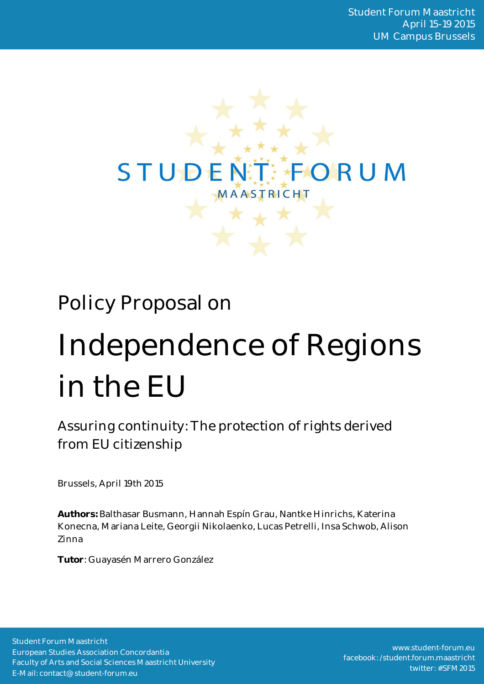

# Policy Proposal on

# Independence of Regions in the EU

Assuring continuity: The protection of rights derived from EU citizenship

Brussels, April 19th 2015

**Authors:** Balthasar Busmann, Hannah Espín Grau, Nantke Hinrichs, Katerina Konecna, Mariana Leite, Georgii Nikolaenko, Lucas Petrelli, Insa Schwob, Alison Zinna

**Tutor**: Guayasén Marrero González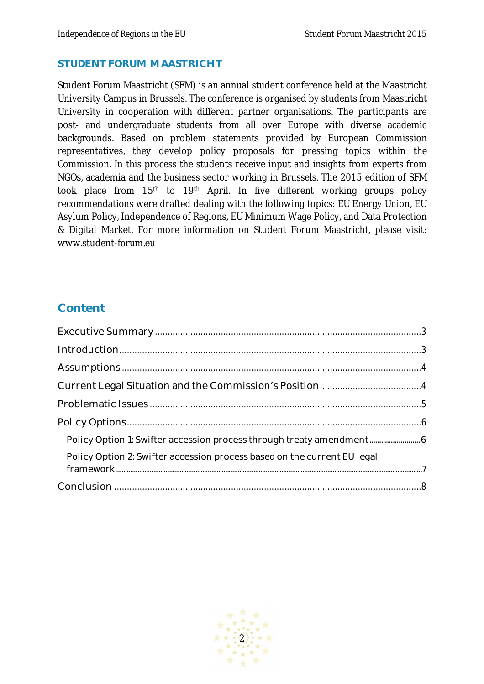#### **STUDENT FORUM MAASTRICHT**

Student Forum Maastricht (SFM) is an annual student conference held at the Maastricht University Campus in Brussels. The conference is organised by students from Maastricht University in cooperation with different partner organisations. The participants are post- and undergraduate students from all over Europe with diverse academic backgrounds. Based on problem statements provided by European Commission representatives, they develop policy proposals for pressing topics within the Commission. In this process the students receive input and insights from experts from NGOs, academia and the business sector working in Brussels. The 2015 edition of SFM took place from 15<sup>th</sup> to 19<sup>th</sup> April. In five different working groups policy recommendations were drafted dealing with the following topics: EU Energy Union, EU Asylum Policy, Independence of Regions, EU Minimum Wage Policy, and Data Protection & Digital Market. For more information on Student Forum Maastricht, please visit: www.student-forum.eu

# **Content**

| Policy Option 2: Swifter accession process based on the current EU legal |  |
|--------------------------------------------------------------------------|--|
|                                                                          |  |

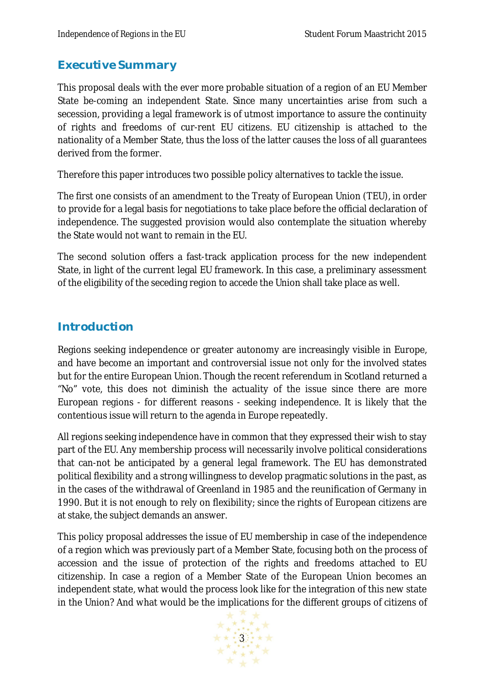# **Executive Summary**

This proposal deals with the ever more probable situation of a region of an EU Member State be-coming an independent State. Since many uncertainties arise from such a secession, providing a legal framework is of utmost importance to assure the continuity of rights and freedoms of cur-rent EU citizens. EU citizenship is attached to the nationality of a Member State, thus the loss of the latter causes the loss of all guarantees derived from the former.

Therefore this paper introduces two possible policy alternatives to tackle the issue.

The first one consists of an amendment to the Treaty of European Union (TEU), in order to provide for a legal basis for negotiations to take place before the official declaration of independence. The suggested provision would also contemplate the situation whereby the State would not want to remain in the EU.

The second solution offers a fast-track application process for the new independent State, in light of the current legal EU framework. In this case, a preliminary assessment of the eligibility of the seceding region to accede the Union shall take place as well.

# **Introduction**

Regions seeking independence or greater autonomy are increasingly visible in Europe, and have become an important and controversial issue not only for the involved states but for the entire European Union. Though the recent referendum in Scotland returned a "No" vote, this does not diminish the actuality of the issue since there are more European regions - for different reasons - seeking independence. It is likely that the contentious issue will return to the agenda in Europe repeatedly.

All regions seeking independence have in common that they expressed their wish to stay part of the EU. Any membership process will necessarily involve political considerations that can-not be anticipated by a general legal framework. The EU has demonstrated political flexibility and a strong willingness to develop pragmatic solutions in the past, as in the cases of the withdrawal of Greenland in 1985 and the reunification of Germany in 1990. But it is not enough to rely on flexibility; since the rights of European citizens are at stake, the subject demands an answer.

This policy proposal addresses the issue of EU membership in case of the independence of a region which was previously part of a Member State, focusing both on the process of accession and the issue of protection of the rights and freedoms attached to EU citizenship. In case a region of a Member State of the European Union becomes an independent state, what would the process look like for the integration of this new state in the Union? And what would be the implications for the different groups of citizens of

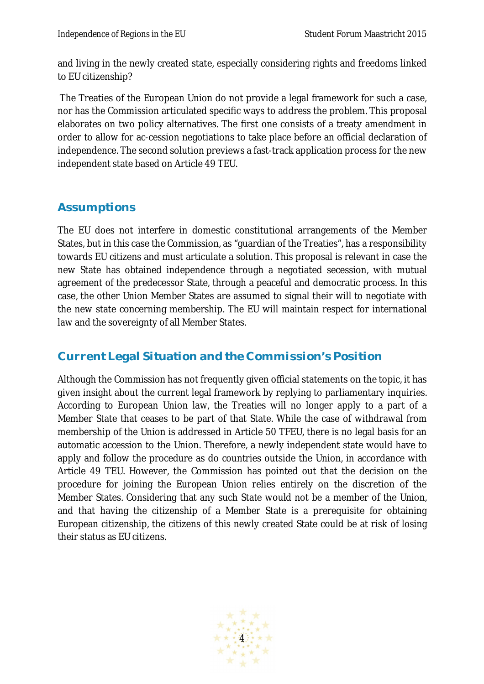and living in the newly created state, especially considering rights and freedoms linked to EU citizenship?

The Treaties of the European Union do not provide a legal framework for such a case, nor has the Commission articulated specific ways to address the problem. This proposal elaborates on two policy alternatives. The first one consists of a treaty amendment in order to allow for ac-cession negotiations to take place before an official declaration of independence. The second solution previews a fast-track application process for the new independent state based on Article 49 TEU.

# **Assumptions**

The EU does not interfere in domestic constitutional arrangements of the Member States, but in this case the Commission, as "guardian of the Treaties", has a responsibility towards EU citizens and must articulate a solution. This proposal is relevant in case the new State has obtained independence through a negotiated secession, with mutual agreement of the predecessor State, through a peaceful and democratic process. In this case, the other Union Member States are assumed to signal their will to negotiate with the new state concerning membership. The EU will maintain respect for international law and the sovereignty of all Member States.

# **Current Legal Situation and the Commission's Position**

Although the Commission has not frequently given official statements on the topic, it has given insight about the current legal framework by replying to parliamentary inquiries. According to European Union law, the Treaties will no longer apply to a part of a Member State that ceases to be part of that State. While the case of withdrawal from membership of the Union is addressed in Article 50 TFEU, there is no legal basis for an automatic accession to the Union. Therefore, a newly independent state would have to apply and follow the procedure as do countries outside the Union, in accordance with Article 49 TEU. However, the Commission has pointed out that the decision on the procedure for joining the European Union relies entirely on the discretion of the Member States. Considering that any such State would not be a member of the Union, and that having the citizenship of a Member State is a prerequisite for obtaining European citizenship, the citizens of this newly created State could be at risk of losing their status as EU citizens.

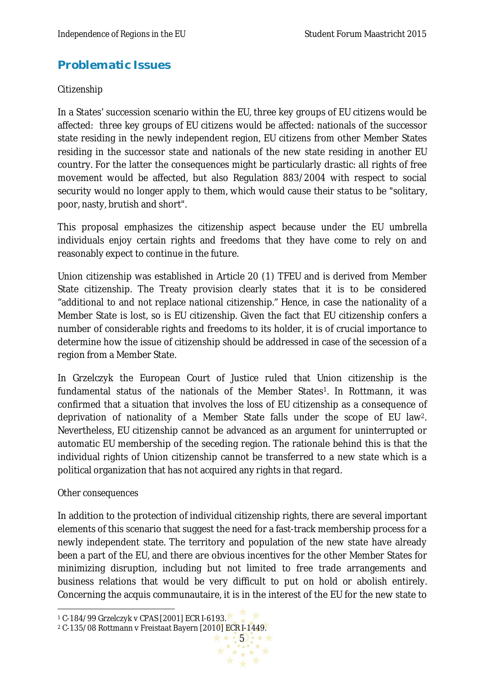# **Problematic Issues**

#### *Citizenship*

In a States' succession scenario within the EU, three key groups of EU citizens would be affected: three key groups of EU citizens would be affected: nationals of the successor state residing in the newly independent region, EU citizens from other Member States residing in the successor state and nationals of the new state residing in another EU country. For the latter the consequences might be particularly drastic: all rights of free movement would be affected, but also Regulation 883/2004 with respect to social security would no longer apply to them, which would cause their status to be "solitary, poor, nasty, brutish and short".

This proposal emphasizes the citizenship aspect because under the EU umbrella individuals enjoy certain rights and freedoms that they have come to rely on and reasonably expect to continue in the future.

Union citizenship was established in Article 20 (1) TFEU and is derived from Member State citizenship. The Treaty provision clearly states that it is to be considered "additional to and not replace national citizenship." Hence, in case the nationality of a Member State is lost, so is EU citizenship. Given the fact that EU citizenship confers a number of considerable rights and freedoms to its holder, it is of crucial importance to determine how the issue of citizenship should be addressed in case of the secession of a region from a Member State.

In Grzelczyk the European Court of Justice ruled that Union citizenship is the fundamental status of the nationals of the Member States<sup>1</sup>. In Rottmann, it was confirmed that a situation that involves the loss of EU citizenship as a consequence of deprivation of nationality of a Member State falls under the scope of EU law2. Nevertheless, EU citizenship cannot be advanced as an argument for uninterrupted or automatic EU membership of the seceding region. The rationale behind this is that the individual rights of Union citizenship cannot be transferred to a new state which is a political organization that has not acquired any rights in that regard.

#### *Other consequences*

In addition to the protection of individual citizenship rights, there are several important elements of this scenario that suggest the need for a fast-track membership process for a newly independent state. The territory and population of the new state have already been a part of the EU, and there are obvious incentives for the other Member States for minimizing disruption, including but not limited to free trade arrangements and business relations that would be very difficult to put on hold or abolish entirely. Concerning the acquis communautaire, it is in the interest of the EU for the new state to

 $\hat{\star}$  \*

 $\overline{a}$ <sup>1</sup> C-184/99 Grzelczyk v CPAS [2001] ECR I-6193.

<sup>\*\*\*\*\*\*\*\*</sup> <sup>2</sup> C-135/08 Rottmann v Freistaat Bayern [2010] ECR I-1449.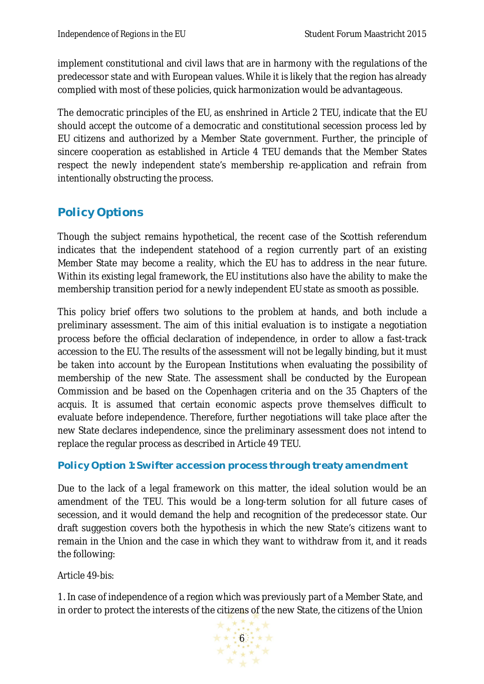implement constitutional and civil laws that are in harmony with the regulations of the predecessor state and with European values. While it is likely that the region has already complied with most of these policies, quick harmonization would be advantageous.

The democratic principles of the EU, as enshrined in Article 2 TEU, indicate that the EU should accept the outcome of a democratic and constitutional secession process led by EU citizens and authorized by a Member State government. Further, the principle of sincere cooperation as established in Article 4 TEU demands that the Member States respect the newly independent state's membership re-application and refrain from intentionally obstructing the process.

# **Policy Options**

Though the subject remains hypothetical, the recent case of the Scottish referendum indicates that the independent statehood of a region currently part of an existing Member State may become a reality, which the EU has to address in the near future. Within its existing legal framework, the EU institutions also have the ability to make the membership transition period for a newly independent EU state as smooth as possible.

This policy brief offers two solutions to the problem at hands, and both include a preliminary assessment. The aim of this initial evaluation is to instigate a negotiation process before the official declaration of independence, in order to allow a fast-track accession to the EU. The results of the assessment will not be legally binding, but it must be taken into account by the European Institutions when evaluating the possibility of membership of the new State. The assessment shall be conducted by the European Commission and be based on the Copenhagen criteria and on the 35 Chapters of the acquis. It is assumed that certain economic aspects prove themselves difficult to evaluate before independence. Therefore, further negotiations will take place after the new State declares independence, since the preliminary assessment does not intend to replace the regular process as described in Article 49 TEU.

#### **Policy Option 1: Swifter accession process through treaty amendment**

Due to the lack of a legal framework on this matter, the ideal solution would be an amendment of the TEU. This would be a long-term solution for all future cases of secession, and it would demand the help and recognition of the predecessor state. Our draft suggestion covers both the hypothesis in which the new State's citizens want to remain in the Union and the case in which they want to withdraw from it, and it reads the following:

#### *Article 49-bis:*

1. In case of independence of a region which was previously part of a Member State, and in order to protect the interests of the citizens of the new State, the citizens of the Union

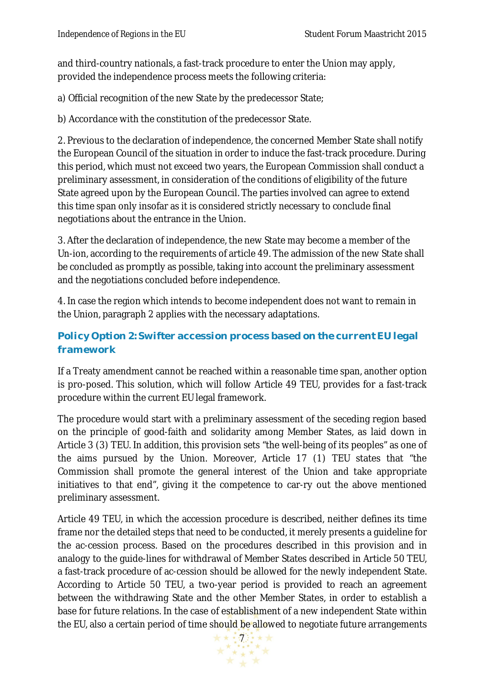and third-country nationals, a fast-track procedure to enter the Union may apply, provided the independence process meets the following criteria:

a) Official recognition of the new State by the predecessor State;

b) Accordance with the constitution of the predecessor State.

2. Previous to the declaration of independence, the concerned Member State shall notify the European Council of the situation in order to induce the fast-track procedure. During this period, which must not exceed two years, the European Commission shall conduct a preliminary assessment, in consideration of the conditions of eligibility of the future State agreed upon by the European Council. The parties involved can agree to extend this time span only insofar as it is considered strictly necessary to conclude final negotiations about the entrance in the Union.

3. After the declaration of independence, the new State may become a member of the Un-ion, according to the requirements of article 49. The admission of the new State shall be concluded as promptly as possible, taking into account the preliminary assessment and the negotiations concluded before independence.

4. In case the region which intends to become independent does not want to remain in the Union, paragraph 2 applies with the necessary adaptations.

### **Policy Option 2: Swifter accession process based on the current EU legal framework**

If a Treaty amendment cannot be reached within a reasonable time span, another option is pro-posed. This solution, which will follow Article 49 TEU, provides for a fast-track procedure within the current EU legal framework.

The procedure would start with a preliminary assessment of the seceding region based on the principle of good-faith and solidarity among Member States, as laid down in Article 3 (3) TEU. In addition, this provision sets "the well-being of its peoples" as one of the aims pursued by the Union. Moreover, Article 17 (1) TEU states that "the Commission shall promote the general interest of the Union and take appropriate initiatives to that end", giving it the competence to car-ry out the above mentioned preliminary assessment.

Article 49 TEU, in which the accession procedure is described, neither defines its time frame nor the detailed steps that need to be conducted, it merely presents a guideline for the ac-cession process. Based on the procedures described in this provision and in analogy to the guide-lines for withdrawal of Member States described in Article 50 TEU, a fast-track procedure of ac-cession should be allowed for the newly independent State. According to Article 50 TEU, a two-year period is provided to reach an agreement between the withdrawing State and the other Member States, in order to establish a base for future relations. In the case of establishment of a new independent State within the EU, also a certain period of time should be allowed to negotiate future arrangements